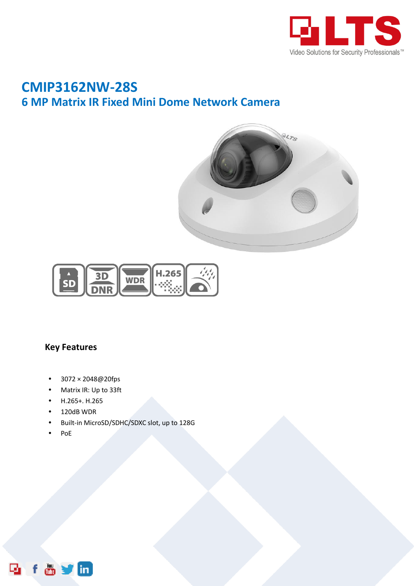

## **CMIP3162NW-28S 6 MP Matrix IR Fixed Mini Dome Network Camera**





## **Key Features**

- 3072 × 2048@20fps
- Matrix IR: Up to 33ft
- H.265+. H.265
- 120dB WDR
- Built-in MicroSD/SDHC/SDXC slot, up to 128G
- $\bullet$  PoE

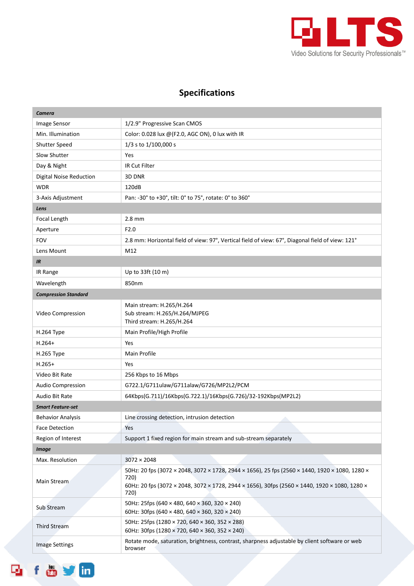

## **Specifications**

| Camera                         |                                                                                                          |  |
|--------------------------------|----------------------------------------------------------------------------------------------------------|--|
| Image Sensor                   | 1/2.9" Progressive Scan CMOS                                                                             |  |
| Min. Illumination              | Color: 0.028 lux @(F2.0, AGC ON), 0 lux with IR                                                          |  |
| <b>Shutter Speed</b>           | 1/3 s to 1/100,000 s                                                                                     |  |
| Slow Shutter                   | Yes                                                                                                      |  |
| Day & Night                    | IR Cut Filter                                                                                            |  |
| <b>Digital Noise Reduction</b> | 3D DNR                                                                                                   |  |
| <b>WDR</b>                     | 120dB                                                                                                    |  |
| 3-Axis Adjustment              | Pan: -30° to +30°, tilt: 0° to 75°, rotate: 0° to 360°                                                   |  |
| Lens                           |                                                                                                          |  |
| Focal Length                   | $2.8$ mm                                                                                                 |  |
| Aperture                       | F2.0                                                                                                     |  |
| <b>FOV</b>                     | 2.8 mm: Horizontal field of view: 97°, Vertical field of view: 67°, Diagonal field of view: 121°         |  |
| Lens Mount                     | M12                                                                                                      |  |
| IR                             |                                                                                                          |  |
| IR Range                       | Up to 33ft (10 m)                                                                                        |  |
| Wavelength                     | 850nm                                                                                                    |  |
| <b>Compression Standard</b>    |                                                                                                          |  |
|                                | Main stream: H.265/H.264                                                                                 |  |
| Video Compression              | Sub stream: H.265/H.264/MJPEG                                                                            |  |
|                                | Third stream: H.265/H.264                                                                                |  |
| H.264 Type                     | Main Profile/High Profile                                                                                |  |
| $H.264+$                       | Yes                                                                                                      |  |
| H.265 Type                     | Main Profile                                                                                             |  |
| $H.265+$                       | Yes                                                                                                      |  |
| Video Bit Rate                 | 256 Kbps to 16 Mbps                                                                                      |  |
| <b>Audio Compression</b>       | G722.1/G711ulaw/G711alaw/G726/MP2L2/PCM                                                                  |  |
| Audio Bit Rate                 | 64Kbps(G.711)/16Kbps(G.722.1)/16Kbps(G.726)/32-192Kbps(MP2L2)                                            |  |
| <b>Smart Feature-set</b>       |                                                                                                          |  |
| <b>Behavior Analysis</b>       | Line crossing detection, intrusion detection                                                             |  |
| Face Detection                 | Yes                                                                                                      |  |
| Region of Interest             | Support 1 fixed region for main stream and sub-stream separately                                         |  |
| <b>Image</b>                   |                                                                                                          |  |
| Max. Resolution                | $3072 \times 2048$                                                                                       |  |
| Main Stream                    | 50Hz: 20 fps (3072 × 2048, 3072 × 1728, 2944 × 1656), 25 fps (2560 × 1440, 1920 × 1080, 1280 ×<br>720)   |  |
|                                | 60Hz: 20 fps (3072 × 2048, 3072 × 1728, 2944 × 1656), 30fps (2560 × 1440, 1920 × 1080, 1280 ×<br>720)    |  |
| Sub Stream                     | 50Hz: 25fps (640 × 480, 640 × 360, 320 × 240)<br>60Hz: 30fps (640 × 480, 640 × 360, 320 × 240)           |  |
| <b>Third Stream</b>            | 50Hz: 25fps (1280 × 720, 640 × 360, 352 × 288)                                                           |  |
|                                | 60Hz: 30fps (1280 × 720, 640 × 360, 352 × 240)                                                           |  |
| <b>Image Settings</b>          | Rotate mode, saturation, brightness, contrast, sharpness adjustable by client software or web<br>browser |  |

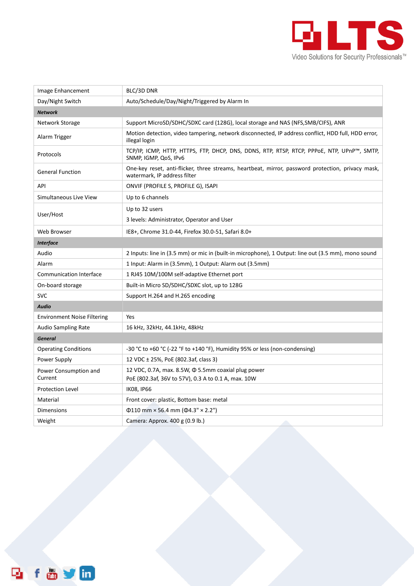

| Image Enhancement                  | BLC/3D DNR                                                                                                                        |  |
|------------------------------------|-----------------------------------------------------------------------------------------------------------------------------------|--|
| Day/Night Switch                   | Auto/Schedule/Day/Night/Triggered by Alarm In                                                                                     |  |
| <b>Network</b>                     |                                                                                                                                   |  |
| Network Storage                    | Support MicroSD/SDHC/SDXC card (128G), local storage and NAS (NFS, SMB/CIFS), ANR                                                 |  |
| Alarm Trigger                      | Motion detection, video tampering, network disconnected, IP address conflict, HDD full, HDD error,<br>illegal login               |  |
| Protocols                          | TCP/IP, ICMP, HTTP, HTTPS, FTP, DHCP, DNS, DDNS, RTP, RTSP, RTCP, PPPOE, NTP, UPnP™, SMTP,<br>SNMP, IGMP, QoS, IPv6               |  |
| <b>General Function</b>            | One-key reset, anti-flicker, three streams, heartbeat, mirror, password protection, privacy mask,<br>watermark, IP address filter |  |
| API                                | ONVIF (PROFILE S, PROFILE G), ISAPI                                                                                               |  |
| Simultaneous Live View             | Up to 6 channels                                                                                                                  |  |
| User/Host                          | Up to 32 users                                                                                                                    |  |
|                                    | 3 levels: Administrator, Operator and User                                                                                        |  |
| <b>Web Browser</b>                 | IE8+, Chrome 31.0-44, Firefox 30.0-51, Safari 8.0+                                                                                |  |
| <b>Interface</b>                   |                                                                                                                                   |  |
| Audio                              | 2 Inputs: line in (3.5 mm) or mic in (built-in microphone), 1 Output: line out (3.5 mm), mono sound                               |  |
| Alarm                              | 1 Input: Alarm in (3.5mm), 1 Output: Alarm out (3.5mm)                                                                            |  |
| <b>Communication Interface</b>     | 1 RJ45 10M/100M self-adaptive Ethernet port                                                                                       |  |
| On-board storage                   | Built-in Micro SD/SDHC/SDXC slot, up to 128G                                                                                      |  |
| <b>SVC</b>                         | Support H.264 and H.265 encoding                                                                                                  |  |
| Audio                              |                                                                                                                                   |  |
| <b>Environment Noise Filtering</b> | Yes                                                                                                                               |  |
| <b>Audio Sampling Rate</b>         | 16 kHz, 32kHz, 44.1kHz, 48kHz                                                                                                     |  |
| <b>General</b>                     |                                                                                                                                   |  |
| <b>Operating Conditions</b>        | -30 °C to +60 °C (-22 °F to +140 °F), Humidity 95% or less (non-condensing)                                                       |  |
| Power Supply                       | 12 VDC ± 25%, PoE (802.3af, class 3)                                                                                              |  |
| Power Consumption and<br>Current   | 12 VDC, 0.7A, max. 8.5W, $\Phi$ 5.5mm coaxial plug power<br>PoE (802.3af, 36V to 57V), 0.3 A to 0.1 A, max. 10W                   |  |
| <b>Protection Level</b>            | <b>IK08, IP66</b>                                                                                                                 |  |
| Material                           | Front cover: plastic, Bottom base: metal                                                                                          |  |
| <b>Dimensions</b>                  | $\Phi$ 110 mm × 56.4 mm ( $\Phi$ 4.3" × 2.2")                                                                                     |  |
| Weight                             | Camera: Approx. 400 g (0.9 lb.)                                                                                                   |  |